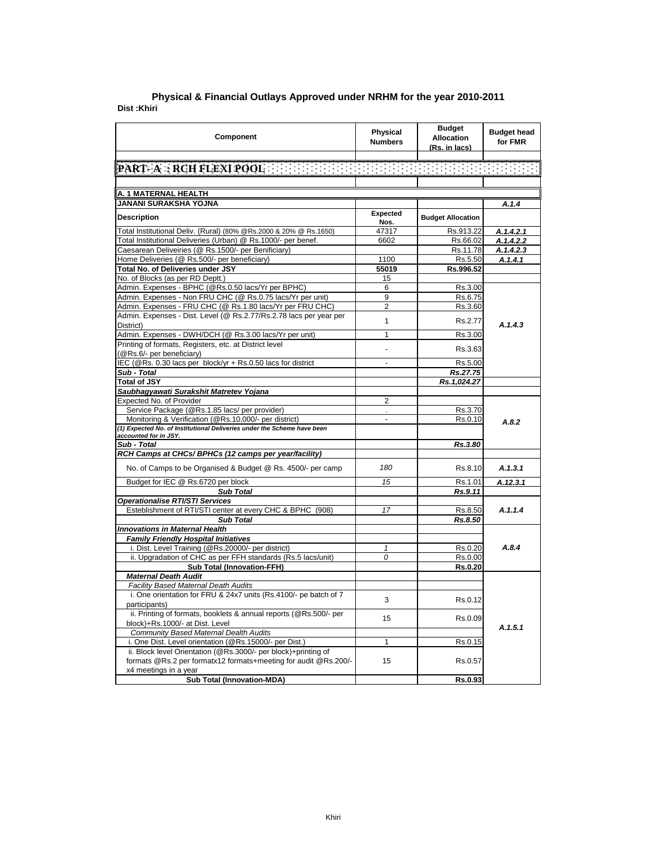| Component                                                                           | <b>Physical</b><br><b>Numbers</b> | <b>Budget</b><br><b>Allocation</b><br>(Rs. in lacs) | <b>Budget head</b><br>for FMR |
|-------------------------------------------------------------------------------------|-----------------------------------|-----------------------------------------------------|-------------------------------|
| PART-A : RCH FLEXI POOL AND THE REPORT OF THE REPORT OF THE REPORT                  |                                   |                                                     |                               |
|                                                                                     |                                   |                                                     |                               |
|                                                                                     |                                   |                                                     |                               |
| A. 1 MATERNAL HEALTH                                                                |                                   |                                                     |                               |
| JANANI SURAKSHA YOJNA                                                               |                                   |                                                     | A.1.4                         |
| <b>Description</b>                                                                  | Expected<br>Nos.                  | <b>Budget Allocation</b>                            |                               |
| Total Institutional Deliv. (Rural) (80% @Rs.2000 & 20% @ Rs.1650)                   | 47317                             | Rs.913.22                                           | A.1.4.2.1                     |
| Total Institutional Deliveries (Urban) @ Rs.1000/- per benef.                       | 6602                              | Rs.66.02                                            | A.1.4.2.2                     |
| Caesarean Deliveiries (@ Rs.1500/- per Benificiary)                                 |                                   | Rs.11.78                                            | A.1.4.2.3                     |
| Home Deliveries (@ Rs.500/- per beneficiary)                                        | 1100                              | Rs.5.50                                             | A.1.4.1                       |
| Total No. of Deliveries under JSY                                                   | 55019                             | Rs.996.52                                           |                               |
| No. of Blocks (as per RD Deptt.)                                                    | 15                                |                                                     |                               |
| Admin. Expenses - BPHC (@Rs.0.50 lacs/Yr per BPHC)                                  | 6                                 | Rs.3.00                                             |                               |
| Admin. Expenses - Non FRU CHC (@ Rs.0.75 lacs/Yr per unit)                          | 9                                 | Rs.6.75                                             |                               |
| Admin. Expenses - FRU CHC (@ Rs.1.80 lacs/Yr per FRU CHC)                           | 2                                 | Rs.3.60                                             |                               |
| Admin. Expenses - Dist. Level (@ Rs.2.77/Rs.2.78 lacs per year per                  | $\mathbf{1}$                      | Rs.2.77                                             | A.1.4.3                       |
| District)                                                                           | 1                                 |                                                     |                               |
| Admin. Expenses - DWH/DCH (@ Rs.3.00 lacs/Yr per unit)                              |                                   | Rs.3.00                                             |                               |
| Printing of formats, Registers, etc. at District level<br>(@Rs.6/- per beneficiary) |                                   | Rs.3.63                                             |                               |
| IEC (@Rs. 0.30 lacs per block/yr + Rs.0.50 lacs for district                        | $\overline{a}$                    | Rs.5.00                                             |                               |
| Sub - Total                                                                         |                                   | Rs.27.75                                            |                               |
| <b>Total of JSY</b>                                                                 |                                   | Rs.1,024.27                                         |                               |
| Saubhagyawati Surakshit Matretev Yojana                                             |                                   |                                                     |                               |
| Expected No. of Provider                                                            | $\overline{2}$                    |                                                     |                               |
| Service Package (@Rs.1.85 lacs/ per provider)                                       |                                   | Rs.3.70                                             |                               |
| Monitoring & Verification (@Rs.10,000/- per district)                               | L.                                | Rs.0.10                                             | A.8.2                         |
| (1) Expected No. of Institutional Deliveries under the Scheme have been             |                                   |                                                     |                               |
| accounted for in JSY.                                                               |                                   |                                                     |                               |
| Sub - Total                                                                         |                                   | Rs.3.80                                             |                               |
| RCH Camps at CHCs/ BPHCs (12 camps per year/facility)                               |                                   |                                                     |                               |
| No. of Camps to be Organised & Budget @ Rs. 4500/- per camp                         | 180                               | Rs.8.10                                             | A.1.3.1                       |
| Budget for IEC @ Rs.6720 per block                                                  | 15                                | Rs.1.01                                             | A.12.3.1                      |
| <b>Sub Total</b>                                                                    |                                   | Rs.9.11                                             |                               |
| <b>Operationalise RTI/STI Services</b>                                              |                                   |                                                     |                               |
| Esteblishment of RTI/STI center at every CHC & BPHC (908)                           | 17                                | Rs.8.50                                             | A.1.1.4                       |
| <b>Sub Total</b>                                                                    |                                   | Rs.8.50                                             |                               |
| <b>Innovations in Maternal Health</b>                                               |                                   |                                                     |                               |
| <b>Family Friendly Hospital Initiatives</b>                                         |                                   |                                                     |                               |
| i. Dist. Level Training (@Rs.20000/- per district)                                  | $\mathbf{1}$                      | Rs.0.20                                             | A.8.4                         |
| ii. Upgradation of CHC as per FFH standards (Rs.5 lacs/unit)                        | 0                                 | Rs.0.00                                             |                               |
| <b>Sub Total (Innovation-FFH)</b>                                                   |                                   | Rs.0.20                                             |                               |
| <b>Maternal Death Audit</b>                                                         |                                   |                                                     |                               |
| <b>Facility Based Maternal Death Audits</b>                                         |                                   |                                                     |                               |
| i. One orientation for FRU & 24x7 units (Rs.4100/- pe batch of 7<br>participants)   | 3                                 | Rs.0.12                                             |                               |
| ii. Printing of formats, booklets & annual reports (@Rs.500/- per                   |                                   |                                                     |                               |
| block)+Rs.1000/- at Dist. Level                                                     | 15                                | Rs.0.09                                             |                               |
| Community Based Maternal Dealth Audits                                              |                                   |                                                     | A.1.5.1                       |
| i. One Dist. Level orientation (@Rs.15000/- per Dist.)                              | 1                                 | Rs.0.15                                             |                               |
| ii. Block level Orientation (@Rs.3000/- per block)+printing of                      |                                   |                                                     |                               |
| formats @Rs.2 per formatx12 formats+meeting for audit @Rs.200/-                     | 15                                | Rs.0.57                                             |                               |
| x4 meetings in a year                                                               |                                   |                                                     |                               |
| <b>Sub Total (Innovation-MDA)</b>                                                   |                                   | Rs.0.93                                             |                               |

## **Dist :Khiri District : Agra Physical & Financial Outlays Approved under NRHM for the year 2010-2011**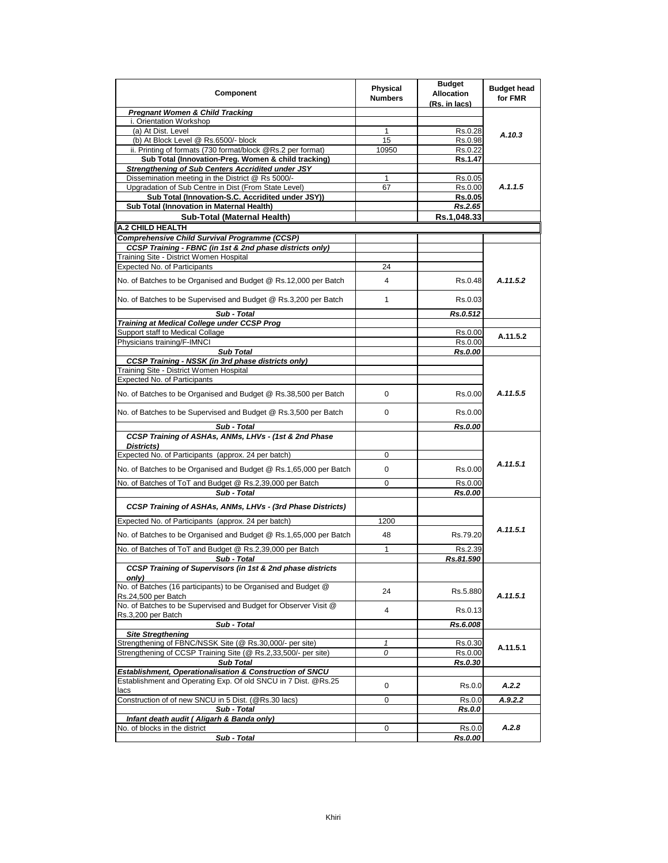| Component                                                                                                                  | Physical<br><b>Numbers</b> | <b>Budget</b><br><b>Allocation</b><br>(Rs. in lacs) | <b>Budget head</b><br>for FMR |
|----------------------------------------------------------------------------------------------------------------------------|----------------------------|-----------------------------------------------------|-------------------------------|
| <b>Pregnant Women &amp; Child Tracking</b>                                                                                 |                            |                                                     |                               |
| i. Orientation Workshop                                                                                                    |                            |                                                     |                               |
| (a) At Dist. Level                                                                                                         | 1                          | Rs.0.28                                             |                               |
| (b) At Block Level @ Rs.6500/- block                                                                                       | 15                         | Rs.0.98                                             | A.10.3                        |
| ii. Printing of formats (730 format/block @Rs.2 per format)                                                                | 10950                      | Rs.0.22                                             |                               |
| Sub Total (Innovation-Preg. Women & child tracking)                                                                        |                            | Rs.1.47                                             |                               |
| Strengthening of Sub Centers Accridited under JSY                                                                          |                            |                                                     |                               |
| Dissemination meeting in the District @ Rs 5000/-                                                                          | 1                          | Rs.0.05                                             |                               |
| Upgradation of Sub Centre in Dist (From State Level)                                                                       | 67                         | Rs.0.00                                             | A.1.1.5                       |
| Sub Total (Innovation-S.C. Accridited under JSY))                                                                          |                            | Rs.0.05                                             |                               |
| Sub Total (Innovation in Maternal Health)                                                                                  |                            | Rs.2.65                                             |                               |
| Sub-Total (Maternal Health)                                                                                                |                            | Rs.1,048.33                                         |                               |
| A.2 CHILD HEALTH                                                                                                           |                            |                                                     |                               |
| <b>Comprehensive Child Survival Programme (CCSP)</b>                                                                       |                            |                                                     |                               |
| CCSP Training - FBNC (in 1st & 2nd phase districts only)                                                                   |                            |                                                     |                               |
| Training Site - District Women Hospital                                                                                    |                            |                                                     |                               |
| <b>Expected No. of Participants</b>                                                                                        | 24                         |                                                     |                               |
| No. of Batches to be Organised and Budget @ Rs.12,000 per Batch                                                            | 4                          | Rs.0.48                                             | A.11.5.2                      |
|                                                                                                                            |                            |                                                     |                               |
| No. of Batches to be Supervised and Budget @ Rs.3,200 per Batch                                                            | 1                          | Rs.0.03                                             |                               |
| Sub - Total                                                                                                                |                            | Rs.0.512                                            |                               |
| Training at Medical College under CCSP Prog                                                                                |                            |                                                     |                               |
| Support staff to Medical Collage                                                                                           |                            | Rs.0.00                                             | A.11.5.2                      |
| Physicians training/F-IMNCI                                                                                                |                            | Rs.0.00                                             |                               |
| <b>Sub Total</b>                                                                                                           |                            | Rs.0.00                                             |                               |
| <b>CCSP Training - NSSK (in 3rd phase districts only)</b>                                                                  |                            |                                                     |                               |
| Training Site - District Women Hospital                                                                                    |                            |                                                     |                               |
| Expected No. of Participants                                                                                               |                            |                                                     |                               |
| No. of Batches to be Organised and Budget @ Rs.38,500 per Batch                                                            | 0                          | Rs.0.00                                             | A.11.5.5                      |
| No. of Batches to be Supervised and Budget @ Rs.3,500 per Batch                                                            | 0                          | Rs.0.00                                             |                               |
| Sub - Total                                                                                                                |                            | Rs.0.00                                             |                               |
| CCSP Training of ASHAs, ANMs, LHVs - (1st & 2nd Phase<br>Districts)                                                        |                            |                                                     |                               |
| Expected No. of Participants (approx. 24 per batch)                                                                        | 0                          |                                                     |                               |
|                                                                                                                            |                            |                                                     | A.11.5.1                      |
| No. of Batches to be Organised and Budget @ Rs.1,65,000 per Batch                                                          | 0                          | Rs.0.00                                             |                               |
| No. of Batches of ToT and Budget @ Rs.2,39,000 per Batch                                                                   | 0                          | Rs.0.00                                             |                               |
| Sub - Total                                                                                                                |                            | Rs.0.00                                             |                               |
| CCSP Training of ASHAs, ANMs, LHVs - (3rd Phase Districts)                                                                 |                            |                                                     |                               |
| Expected No. of Participants (approx. 24 per batch)                                                                        | 1200                       |                                                     | A.11.5.1                      |
| No. of Batches to be Organised and Budget @ Rs.1,65,000 per Batch                                                          | 48                         | Rs.79.20                                            |                               |
| No. of Batches of ToT and Budget @ Rs.2,39,000 per Batch                                                                   | 1                          | Rs.2.39                                             |                               |
| Sub - Total                                                                                                                |                            | Rs.81.590                                           |                               |
| <b>CCSP Training of Supervisors (in 1st &amp; 2nd phase districts</b><br>only)                                             |                            |                                                     |                               |
| No. of Batches (16 participants) to be Organised and Budget @<br>Rs.24,500 per Batch                                       | 24                         | Rs.5.880                                            | A.11.5.1                      |
| No. of Batches to be Supervised and Budget for Observer Visit @<br>Rs.3,200 per Batch                                      | 4                          | Rs.0.13                                             |                               |
| Sub - Total                                                                                                                |                            | Rs.6.008                                            |                               |
| <b>Site Stregthening</b>                                                                                                   |                            |                                                     |                               |
| Strengthening of FBNC/NSSK Site (@ Rs.30,000/- per site)                                                                   | 1                          | Rs.0.30                                             | A.11.5.1                      |
| Strengthening of CCSP Training Site (@ Rs.2,33,500/- per site)                                                             | 0                          | Rs.0.00                                             |                               |
| <b>Sub Total</b>                                                                                                           |                            | Rs.0.30                                             |                               |
| Establishment, Operationalisation & Construction of SNCU<br>Establishment and Operating Exp. Of old SNCU in 7 Dist. @Rs.25 |                            |                                                     |                               |
| lacs                                                                                                                       | 0                          | Rs.0.0                                              | A.2.2                         |
| Construction of of new SNCU in 5 Dist. (@Rs.30 lacs)                                                                       | 0                          | Rs.0.0                                              | A.9.2.2                       |
| Sub - Total                                                                                                                |                            | <b>Rs.0.0</b>                                       |                               |
| Infant death audit ( Aligarh & Banda only)                                                                                 |                            |                                                     |                               |
| No. of blocks in the district                                                                                              | 0                          | Rs.0.0                                              | A.2.8                         |
| Sub - Total                                                                                                                |                            | <b>Rs.0.00</b>                                      |                               |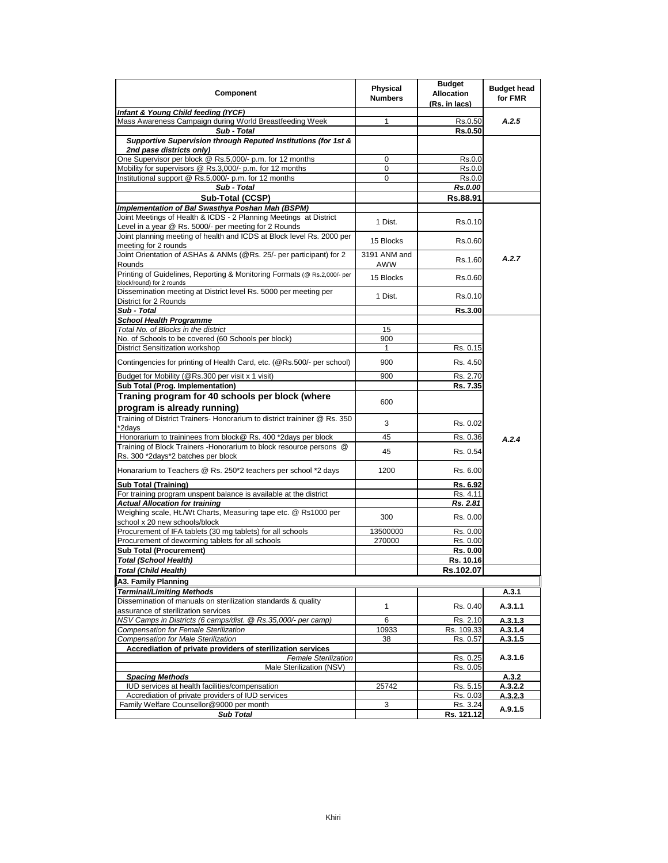| Component                                                                 | Physical<br><b>Numbers</b> | <b>Budget</b><br><b>Allocation</b><br>(Rs. in lacs) | <b>Budget head</b><br>for FMR |
|---------------------------------------------------------------------------|----------------------------|-----------------------------------------------------|-------------------------------|
| Infant & Young Child feeding (IYCF)                                       |                            |                                                     |                               |
| Mass Awareness Campaign during World Breastfeeding Week                   | 1                          | Rs.0.50                                             | A.2.5                         |
| Sub - Total                                                               |                            | Rs.0.50                                             |                               |
| Supportive Supervision through Reputed Institutions (for 1st &            |                            |                                                     |                               |
| 2nd pase districts only)                                                  |                            |                                                     |                               |
| One Supervisor per block @ Rs.5,000/- p.m. for 12 months                  | 0                          | Rs.0.0                                              |                               |
| Mobility for supervisors @ Rs.3,000/- p.m. for 12 months                  | 0                          | Rs.0.0                                              |                               |
| Institutional support @ Rs.5,000/- p.m. for 12 months                     | 0                          | Rs.0.0                                              |                               |
| Sub - Total                                                               |                            | Rs.0.00                                             |                               |
| Sub-Total (CCSP)                                                          |                            | Rs.88.91                                            |                               |
| Implementation of Bal Swasthya Poshan Mah (BSPM)                          |                            |                                                     |                               |
| Joint Meetings of Health & ICDS - 2 Planning Meetings at District         |                            |                                                     |                               |
| Level in a year @ Rs. 5000/- per meeting for 2 Rounds                     | 1 Dist.                    | Rs.0.10                                             |                               |
| Joint planning meeting of health and ICDS at Block level Rs. 2000 per     |                            |                                                     |                               |
| meeting for 2 rounds                                                      | 15 Blocks                  | Rs.0.60                                             |                               |
| Joint Orientation of ASHAs & ANMs (@Rs. 25/- per participant) for 2       | 3191 ANM and               |                                                     | A.2.7                         |
| Rounds                                                                    | <b>AWW</b>                 | Rs.1.60                                             |                               |
| Printing of Guidelines, Reporting & Monitoring Formats (@ Rs.2,000/- per  |                            |                                                     |                               |
| block/round) for 2 rounds                                                 | 15 Blocks                  | Rs.0.60                                             |                               |
| Dissemination meeting at District level Rs. 5000 per meeting per          | 1 Dist.                    |                                                     |                               |
| District for 2 Rounds                                                     |                            | Rs.0.10                                             |                               |
| Sub - Total                                                               |                            | <b>Rs.3.00</b>                                      |                               |
| <b>School Health Programme</b>                                            |                            |                                                     |                               |
| Total No. of Blocks in the district                                       | 15                         |                                                     |                               |
| No. of Schools to be covered (60 Schools per block)                       | 900                        |                                                     |                               |
| District Sensitization workshop                                           | $\mathbf{1}$               | Rs. 0.15                                            |                               |
| Contingencies for printing of Health Card, etc. (@Rs.500/- per school)    | 900                        | Rs. 4.50                                            |                               |
|                                                                           |                            |                                                     |                               |
| Budget for Mobility (@Rs.300 per visit x 1 visit)                         | 900                        | Rs. 2.70                                            |                               |
| Sub Total (Prog. Implementation)                                          |                            | Rs. 7.35                                            |                               |
| Traning program for 40 schools per block (where                           |                            |                                                     |                               |
| program is already running)                                               | 600                        |                                                     |                               |
| Training of District Trainers- Honorarium to district traininer @ Rs. 350 |                            |                                                     |                               |
| *2days                                                                    | 3                          | Rs. 0.02                                            |                               |
| Honorarium to traininees from block@ Rs. 400 *2days per block             | 45                         | Rs. 0.36                                            |                               |
| Training of Block Trainers - Honorarium to block resource persons @       |                            |                                                     | A.2.4                         |
| Rs. 300 *2days*2 batches per block                                        | 45                         | Rs. 0.54                                            |                               |
|                                                                           |                            |                                                     |                               |
| Honararium to Teachers @ Rs. 250*2 teachers per school *2 days            | 1200                       | Rs. 6.00                                            |                               |
| <b>Sub Total (Training)</b>                                               |                            | Rs. 6.92                                            |                               |
| For training program unspent balance is available at the district         |                            | Rs. 4.1                                             |                               |
| <b>Actual Allocation for training</b>                                     |                            | Rs. 2.81                                            |                               |
| Weighing scale, Ht./Wt Charts, Measuring tape etc. @ Rs1000 per           |                            |                                                     |                               |
| school x 20 new schools/block                                             | 300                        | Rs. 0.00                                            |                               |
| Procurement of IFA tablets (30 mg tablets) for all schools                | 13500000                   | Rs. 0.00                                            |                               |
| Procurement of deworming tablets for all schools                          | 270000                     | Rs. 0.00                                            |                               |
| <b>Sub Total (Procurement)</b>                                            |                            | Rs. 0.00                                            |                               |
| <b>Total (School Health)</b>                                              |                            | Rs. 10.16                                           |                               |
| Total (Child Health)                                                      |                            | Rs.102.07                                           |                               |
| A3. Family Planning                                                       |                            |                                                     |                               |
| <b>Terminal/Limiting Methods</b>                                          |                            |                                                     | A.3.1                         |
| Dissemination of manuals on sterilization standards & quality             |                            |                                                     |                               |
| assurance of sterilization services                                       | $\mathbf{1}$               | Rs. 0.40                                            | A.3.1.1                       |
| NSV Camps in Districts (6 camps/dist. @ Rs.35,000/- per camp)             | 6                          | Rs. 2.10                                            | A.3.1.3                       |
| Compensation for Female Sterilization                                     | 10933                      | Rs. 109.33                                          | A.3.1.4                       |
| <b>Compensation for Male Sterilization</b>                                | 38                         | Rs. 0.57                                            | A.3.1.5                       |
| Accrediation of private providers of sterilization services               |                            |                                                     |                               |
| <b>Female Sterilization</b>                                               |                            | Rs. 0.25                                            | A.3.1.6                       |
| Male Sterilization (NSV)                                                  |                            | Rs. 0.05                                            |                               |
| <b>Spacing Methods</b>                                                    |                            |                                                     | A.3.2                         |
| IUD services at health facilities/compensation                            | 25742                      | Rs. 5.15                                            | A.3.2.2                       |
| Accrediation of private providers of IUD services                         |                            | Rs. 0.03                                            | A.3.2.3                       |
| Family Welfare Counsellor@9000 per month                                  | 3                          | Rs. 3.24                                            |                               |
| <b>Sub Total</b>                                                          |                            | Rs. 121.12                                          | A.9.1.5                       |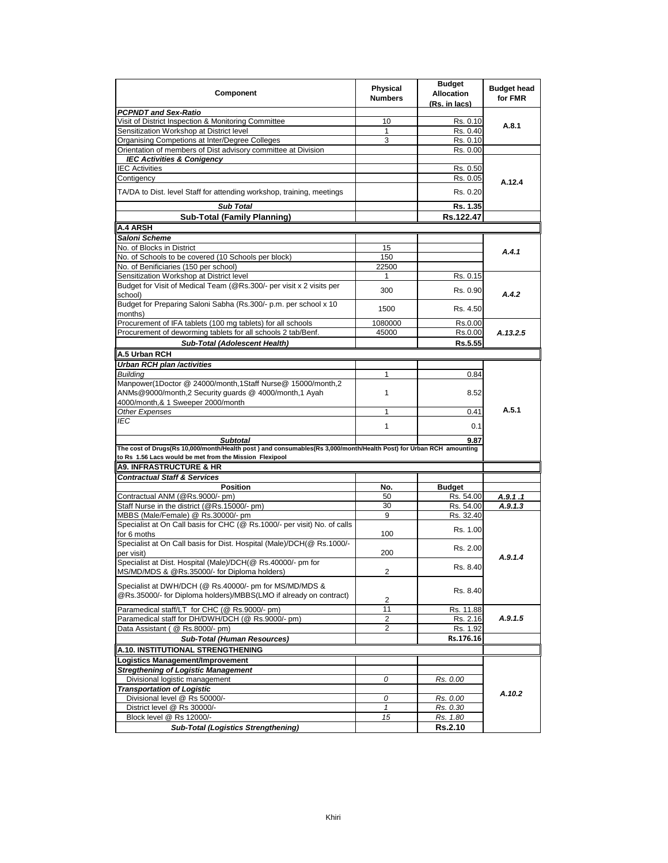| Component                                                                                                                             | Physical<br><b>Numbers</b> | <b>Budget</b><br><b>Allocation</b><br>(Rs. in lacs) | <b>Budget head</b><br>for FMR |
|---------------------------------------------------------------------------------------------------------------------------------------|----------------------------|-----------------------------------------------------|-------------------------------|
| <b>PCPNDT and Sex-Ratio</b>                                                                                                           |                            |                                                     |                               |
| Visit of District Inspection & Monitoring Committee                                                                                   | 10                         | Rs. 0.10                                            | A.8.1                         |
| Sensitization Workshop at District level                                                                                              | 1                          | Rs. 0.40                                            |                               |
| Organising Competions at Inter/Degree Colleges                                                                                        | 3                          | Rs. 0.10                                            |                               |
| Orientation of members of Dist advisory committee at Division                                                                         |                            | Rs. 0.00                                            |                               |
| <b>IEC Activities &amp; Conigency</b>                                                                                                 |                            |                                                     |                               |
| <b>IEC Activities</b>                                                                                                                 |                            | Rs. 0.50                                            |                               |
| Contigency                                                                                                                            |                            | Rs. 0.05                                            | A.12.4                        |
| TA/DA to Dist. level Staff for attending workshop, training, meetings                                                                 |                            | Rs. 0.20                                            |                               |
| <b>Sub Total</b>                                                                                                                      |                            | Rs. 1.35                                            |                               |
| <b>Sub-Total (Family Planning)</b>                                                                                                    |                            | Rs.122.47                                           |                               |
| A.4 ARSH                                                                                                                              |                            |                                                     |                               |
| Saloni Scheme                                                                                                                         |                            |                                                     |                               |
| No. of Blocks in District                                                                                                             | 15                         |                                                     |                               |
| No. of Schools to be covered (10 Schools per block)                                                                                   | 150                        |                                                     | A.4.1                         |
| No. of Benificiaries (150 per school)                                                                                                 | 22500                      |                                                     |                               |
| Sensitization Workshop at District level                                                                                              | 1                          | Rs. 0.15                                            |                               |
| Budget for Visit of Medical Team (@Rs.300/- per visit x 2 visits per                                                                  |                            |                                                     |                               |
| school)                                                                                                                               | 300                        | Rs. 0.90                                            | A.4.2                         |
| Budget for Preparing Saloni Sabha (Rs.300/- p.m. per school x 10<br>months)                                                           | 1500                       | Rs. 4.50                                            |                               |
| Procurement of IFA tablets (100 mg tablets) for all schools                                                                           | 1080000                    | Rs.0.00                                             |                               |
| Procurement of deworming tablets for all schools 2 tab/Benf.                                                                          | 45000                      | Rs.0.00                                             | A.13.2.5                      |
| Sub-Total (Adolescent Health)                                                                                                         |                            | Rs.5.55                                             |                               |
| A.5 Urban RCH                                                                                                                         |                            |                                                     |                               |
| Urban RCH plan /activities                                                                                                            |                            |                                                     |                               |
| <b>Building</b>                                                                                                                       | 1                          | 0.84                                                |                               |
| Manpower(1Doctor @ 24000/month,1Staff Nurse@ 15000/month,2                                                                            |                            |                                                     |                               |
| ANMs@9000/month,2 Security guards @ 4000/month,1 Ayah                                                                                 | $\mathbf{1}$               | 8.52                                                |                               |
| 4000/month,& 1 Sweeper 2000/month                                                                                                     |                            |                                                     |                               |
| Other Expenses                                                                                                                        | 1                          | 0.41                                                | A.5.1                         |
| IEC                                                                                                                                   | 1                          | 0.1                                                 |                               |
|                                                                                                                                       |                            | 9.87                                                |                               |
| <b>Subtotal</b><br>The cost of Drugs(Rs 10,000/month/Health post) and consumables(Rs 3,000/month/Health Post) for Urban RCH amounting |                            |                                                     |                               |
| to Rs 1.56 Lacs would be met from the Mission Flexipool                                                                               |                            |                                                     |                               |
| <b>A9. INFRASTRUCTURE &amp; HR</b>                                                                                                    |                            |                                                     |                               |
| <b>Contractual Staff &amp; Services</b>                                                                                               |                            |                                                     |                               |
|                                                                                                                                       |                            |                                                     |                               |
| <b>Position</b><br>Contractual ANM (@Rs.9000/- pm)                                                                                    | No.<br>50                  | <b>Budget</b><br>Rs. 54.00                          |                               |
|                                                                                                                                       | 30                         |                                                     | A.9.1.1                       |
| Staff Nurse in the district (@Rs.15000/- pm)                                                                                          | 9                          | Rs. 54.00                                           | A.9.1.3                       |
| MBBS (Male/Female) @ Rs.30000/- pm                                                                                                    |                            | Rs. 32.40                                           |                               |
| Specialist at On Call basis for CHC (@ Rs.1000/- per visit) No. of calls<br>for 6 moths                                               | 100                        | Rs. 1.00                                            |                               |
| Specialist at On Call basis for Dist. Hospital (Male)/DCH(@ Rs.1000/-<br>per visit)                                                   | 200                        | Rs. 2.00                                            |                               |
| Specialist at Dist. Hospital (Male)/DCH(@ Rs.40000/- pm for                                                                           |                            |                                                     | A.9.1.4                       |
| MS/MD/MDS & @Rs.35000/- for Diploma holders)                                                                                          | 2                          | Rs. 8.40                                            |                               |
|                                                                                                                                       |                            |                                                     |                               |
| Specialist at DWH/DCH (@ Rs.40000/- pm for MS/MD/MDS &<br>@Rs.35000/- for Diploma holders)/MBBS(LMO if already on contract)           | 2                          | Rs. 8.40                                            |                               |
| Paramedical staff/LT for CHC (@ Rs.9000/- pm)                                                                                         | 11                         | Rs. 11.88                                           |                               |
| Paramedical staff for DH/DWH/DCH (@ Rs.9000/- pm)                                                                                     | $\overline{2}$             | Rs. 2.16                                            | A.9.1.5                       |
| Data Assistant ( @ Rs.8000/- pm)                                                                                                      | 2                          | Rs. 1.92                                            |                               |
|                                                                                                                                       |                            |                                                     |                               |
| Sub-Total (Human Resources)                                                                                                           |                            | Rs.176.16                                           |                               |
| A.10. INSTITUTIONAL STRENGTHENING                                                                                                     |                            |                                                     |                               |
| Logistics Management/Improvement                                                                                                      |                            |                                                     |                               |
| <b>Stregthening of Logistic Management</b>                                                                                            |                            |                                                     |                               |
| Divisional logistic management                                                                                                        | 0                          | Rs. 0.00                                            |                               |
| <b>Transportation of Logistic</b>                                                                                                     |                            |                                                     | A.10.2                        |
| Divisional level @ Rs 50000/-                                                                                                         | 0                          | Rs. 0.00                                            |                               |
| District level @ Rs 30000/-                                                                                                           | $\mathbf{1}$               | Rs. 0.30                                            |                               |
| Block level @ Rs 12000/-                                                                                                              | 15                         | Rs. 1.80                                            |                               |
| <b>Sub-Total (Logistics Strengthening)</b>                                                                                            |                            | <b>Rs.2.10</b>                                      |                               |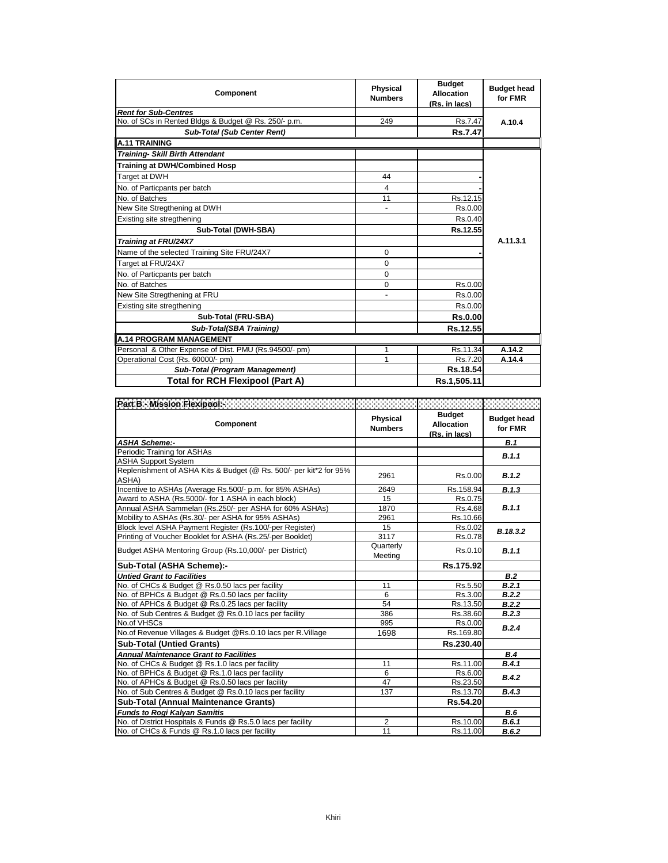| Component                                             | <b>Physical</b><br><b>Numbers</b> | <b>Budget</b><br><b>Allocation</b><br>(Rs. in lacs) | <b>Budget head</b><br>for FMR |
|-------------------------------------------------------|-----------------------------------|-----------------------------------------------------|-------------------------------|
| <b>Rent for Sub-Centres</b>                           |                                   |                                                     |                               |
| No. of SCs in Rented Bldgs & Budget @ Rs. 250/- p.m.  | 249                               | Rs.7.47                                             | A.10.4                        |
| <b>Sub-Total (Sub Center Rent)</b>                    |                                   | <b>Rs.7.47</b>                                      |                               |
| <b>A.11 TRAINING</b>                                  |                                   |                                                     |                               |
| <b>Training- Skill Birth Attendant</b>                |                                   |                                                     |                               |
| <b>Training at DWH/Combined Hosp</b>                  |                                   |                                                     |                               |
| Target at DWH                                         | 44                                |                                                     |                               |
| No. of Particpants per batch                          | 4                                 |                                                     |                               |
| No. of Batches                                        | 11                                | Rs.12.15                                            |                               |
| New Site Stregthening at DWH                          |                                   | Rs.0.00                                             |                               |
| Existing site stregthening                            |                                   | Rs.0.40                                             |                               |
| Sub-Total (DWH-SBA)                                   |                                   | Rs.12.55                                            |                               |
| Training at FRU/24X7                                  |                                   |                                                     | A.11.3.1                      |
| Name of the selected Training Site FRU/24X7           | 0                                 |                                                     |                               |
| Target at FRU/24X7                                    | 0                                 |                                                     |                               |
| No. of Particpants per batch                          | 0                                 |                                                     |                               |
| No. of Batches                                        | 0                                 | Rs.0.00                                             |                               |
| New Site Stregthening at FRU                          |                                   | Rs.0.00                                             |                               |
| Existing site stregthening                            |                                   | Rs.0.00                                             |                               |
| Sub-Total (FRU-SBA)                                   |                                   | <b>Rs.0.00</b>                                      |                               |
| Sub-Total(SBA Training)                               |                                   | Rs.12.55                                            |                               |
| <b>A.14 PROGRAM MANAGEMENT</b>                        |                                   |                                                     |                               |
| Personal & Other Expense of Dist. PMU (Rs.94500/- pm) |                                   | Rs.11.34                                            | A.14.2                        |
| Operational Cost (Rs. 60000/- pm)                     |                                   | Rs.7.20                                             | A.14.4                        |
| Sub-Total (Program Management)                        |                                   | Rs.18.54                                            |                               |
| <b>Total for RCH Flexipool (Part A)</b>               |                                   | Rs.1,505.11                                         |                               |

| Component                                                                   | Physical<br><b>Numbers</b> | <b>Budget</b><br><b>Allocation</b><br>(Rs. in lacs) | <b>Budget head</b><br>for FMR |
|-----------------------------------------------------------------------------|----------------------------|-----------------------------------------------------|-------------------------------|
| <b>ASHA Scheme:-</b>                                                        |                            |                                                     | <b>B.1</b>                    |
| Periodic Training for ASHAs                                                 |                            |                                                     | B.1.1                         |
| <b>ASHA Support System</b>                                                  |                            |                                                     |                               |
| Replenishment of ASHA Kits & Budget (@ Rs. 500/- per kit*2 for 95%<br>ASHA) | 2961                       | Rs.0.00                                             | B.1.2                         |
| Incentive to ASHAs (Average Rs.500/- p.m. for 85% ASHAs)                    | 2649                       | Rs.158.94                                           | B.1.3                         |
| Award to ASHA (Rs.5000/- for 1 ASHA in each block)                          | 15                         | Rs.0.75                                             |                               |
| Annual ASHA Sammelan (Rs.250/- per ASHA for 60% ASHAs)                      | 1870                       | Rs.4.68                                             | B.1.1                         |
| Mobility to ASHAs (Rs.30/- per ASHA for 95% ASHAs)                          | 2961                       | Rs.10.66                                            |                               |
| Block level ASHA Payment Register (Rs.100/-per Register)                    | 15                         | Rs.0.02                                             | B.18.3.2                      |
| Printing of Voucher Booklet for ASHA (Rs.25/-per Booklet)                   | 3117                       | Rs.0.78                                             |                               |
| Budget ASHA Mentoring Group (Rs.10,000/- per District)                      | Quarterly<br>Meeting       | Rs.0.10                                             | B.1.1                         |
| Sub-Total (ASHA Scheme):-                                                   |                            | Rs.175.92                                           |                               |
| <b>Untied Grant to Facilities</b>                                           |                            |                                                     | B.2                           |
| No. of CHCs & Budget @ Rs.0.50 lacs per facility                            | 11                         | Rs.5.50                                             | B.2.1                         |
| No. of BPHCs & Budget @ Rs.0.50 lacs per facility                           | 6                          | Rs.3.00                                             | B.2.2                         |
| No. of APHCs & Budget @ Rs.0.25 lacs per facility                           | 54                         | Rs.13.50                                            | B.2.2                         |
| No. of Sub Centres & Budget @ Rs.0.10 lacs per facility                     | 386                        | Rs.38.60                                            | B.2.3                         |
| No.of VHSCs                                                                 | 995                        | Rs.0.00                                             | B.2.4                         |
| No.of Revenue Villages & Budget @Rs.0.10 lacs per R.Village                 | 1698                       | Rs.169.80                                           |                               |
| <b>Sub-Total (Untied Grants)</b>                                            |                            | Rs.230.40                                           |                               |
| <b>Annual Maintenance Grant to Facilities</b>                               |                            |                                                     | B.4                           |
| No. of CHCs & Budget @ Rs.1.0 lacs per facility                             | 11                         | Rs.11.00                                            | B.4.1                         |
| No. of BPHCs & Budget @ Rs.1.0 lacs per facility                            | 6                          | Rs.6.00                                             | B.4.2                         |
| No. of APHCs & Budget @ Rs.0.50 lacs per facility                           | 47                         | Rs.23.50                                            |                               |
| No. of Sub Centres & Budget @ Rs.0.10 lacs per facility                     | 137                        | Rs.13.70                                            | B.4.3                         |
| <b>Sub-Total (Annual Maintenance Grants)</b>                                |                            | Rs.54.20                                            |                               |
| <b>Funds to Rogi Kalyan Samitis</b>                                         |                            |                                                     | B.6                           |
| No. of District Hospitals & Funds @ Rs.5.0 lacs per facility                | $\overline{2}$             | Rs.10.00                                            | B.6.1                         |
| No. of CHCs & Funds @ Rs.1.0 lacs per facility                              | 11                         | Rs.11.00                                            | B.6.2                         |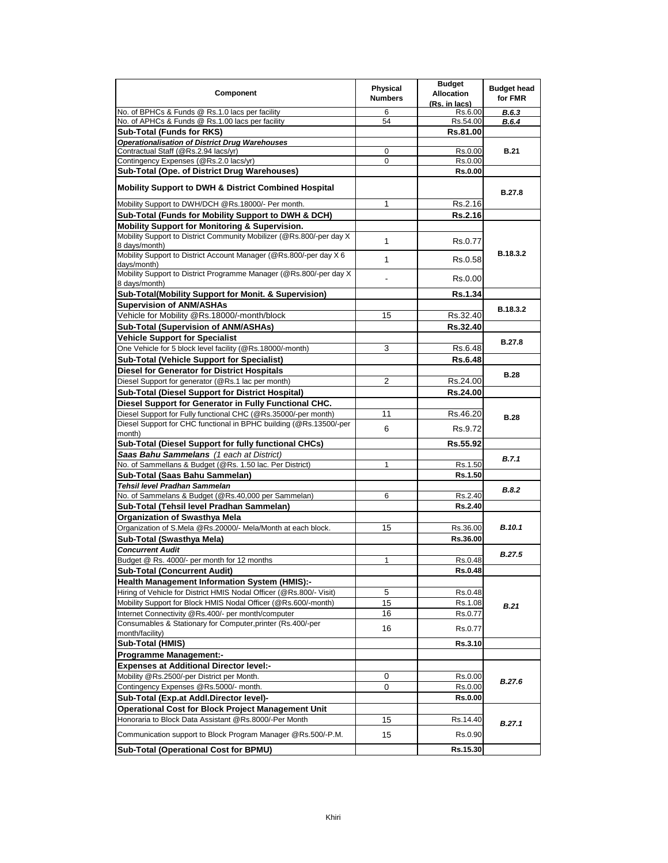| Component                                                                              | Physical<br><b>Numbers</b> | <b>Budget</b><br><b>Allocation</b><br>(Rs. in lacs) | <b>Budget head</b><br>for FMR |
|----------------------------------------------------------------------------------------|----------------------------|-----------------------------------------------------|-------------------------------|
| No. of BPHCs & Funds @ Rs.1.0 lacs per facility                                        | 6                          | Rs.6.00                                             | <b>B.6.3</b>                  |
| No. of APHCs & Funds @ Rs.1.00 lacs per facility                                       | 54                         | Rs.54.00                                            | <b>B.6.4</b>                  |
| <b>Sub-Total (Funds for RKS)</b>                                                       |                            | Rs.81.00                                            |                               |
| <b>Operationalisation of District Drug Warehouses</b>                                  |                            |                                                     |                               |
| Contractual Staff (@Rs.2.94 lacs/yr)                                                   | 0                          | Rs.0.00                                             | <b>B.21</b>                   |
| Contingency Expenses (@Rs.2.0 lacs/yr)                                                 | 0                          | Rs.0.00                                             |                               |
| Sub-Total (Ope. of District Drug Warehouses)                                           |                            | <b>Rs.0.00</b>                                      |                               |
| <b>Mobility Support to DWH &amp; District Combined Hospital</b>                        |                            |                                                     | <b>B.27.8</b>                 |
| Mobility Support to DWH/DCH @Rs.18000/- Per month.                                     | 1                          | Rs.2.16                                             |                               |
| Sub-Total (Funds for Mobility Support to DWH & DCH)                                    |                            | Rs.2.16                                             |                               |
| <b>Mobility Support for Monitoring &amp; Supervision.</b>                              |                            |                                                     |                               |
| Mobility Support to District Community Mobilizer (@Rs.800/-per day X)<br>8 days/month) | 1                          | Rs.0.77                                             |                               |
| Mobility Support to District Account Manager (@Rs.800/-per day X 6<br>days/month)      | 1                          | Rs.0.58                                             | B.18.3.2                      |
| Mobility Support to District Programme Manager (@Rs.800/-per day X)<br>8 days/month)   |                            | Rs.0.00                                             |                               |
| Sub-Total(Mobility Support for Monit. & Supervision)                                   |                            | <b>Rs.1.34</b>                                      |                               |
| <b>Supervision of ANM/ASHAs</b>                                                        |                            |                                                     | <b>B.18.3.2</b>               |
| Vehicle for Mobility @Rs.18000/-month/block                                            | 15                         | Rs.32.40                                            |                               |
| Sub-Total (Supervision of ANM/ASHAs)                                                   |                            | Rs.32.40                                            |                               |
| <b>Vehicle Support for Specialist</b>                                                  |                            |                                                     | <b>B.27.8</b>                 |
| One Vehicle for 5 block level facility (@Rs.18000/-month)                              | 3                          | Rs.6.48                                             |                               |
| <b>Sub-Total (Vehicle Support for Specialist)</b>                                      |                            | <b>Rs.6.48</b>                                      |                               |
| <b>Diesel for Generator for District Hospitals</b>                                     |                            |                                                     |                               |
| Diesel Support for generator (@Rs.1 lac per month)                                     | 2                          | Rs.24.00                                            | <b>B.28</b>                   |
| Sub-Total (Diesel Support for District Hospital)                                       |                            | <b>Rs.24.00</b>                                     |                               |
| Diesel Support for Generator in Fully Functional CHC.                                  |                            |                                                     |                               |
| Diesel Support for Fully functional CHC (@Rs.35000/-per month)                         | 11                         | Rs.46.20                                            | <b>B.28</b>                   |
| Diesel Support for CHC functional in BPHC building (@Rs.13500/-per<br>month)           | 6                          | Rs.9.72                                             |                               |
| Sub-Total (Diesel Support for fully functional CHCs)                                   |                            | Rs.55.92                                            |                               |
| Saas Bahu Sammelans (1 each at District)                                               |                            |                                                     |                               |
| No. of Sammellans & Budget (@Rs. 1.50 lac. Per District)                               | 1                          | Rs.1.50                                             | B.7.1                         |
| Sub-Total (Saas Bahu Sammelan)                                                         |                            | <b>Rs.1.50</b>                                      |                               |
| Tehsil level Pradhan Sammelan                                                          |                            |                                                     | B.8.2                         |
| No. of Sammelans & Budget (@Rs.40,000 per Sammelan)                                    | 6                          | Rs.2.40                                             |                               |
| Sub-Total (Tehsil level Pradhan Sammelan)                                              |                            | Rs.2.40                                             |                               |
| <b>Organization of Swasthya Mela</b>                                                   |                            |                                                     |                               |
| Organization of S.Mela @Rs.20000/- Mela/Month at each block.                           | 15                         | Rs.36.00                                            | <b>B.10.1</b>                 |
| Sub-Total (Swasthya Mela)                                                              |                            | Rs.36.00                                            |                               |
| <b>Concurrent Audit</b>                                                                |                            |                                                     | <b>B.27.5</b>                 |
| Budget @ Rs. 4000/- per month for 12 months                                            | $\mathbf{1}$               | Rs.0.48                                             |                               |
| <b>Sub-Total (Concurrent Audit)</b>                                                    |                            | Rs.0.48                                             |                               |
| <b>Health Management Information System (HMIS):-</b>                                   |                            |                                                     |                               |
| Hiring of Vehicle for District HMIS Nodal Officer (@Rs.800/- Visit)                    | 5                          | Rs.0.48                                             |                               |
| Mobility Support for Block HMIS Nodal Officer (@Rs.600/-month)                         | 15                         | Rs.1.08                                             | B.21                          |
| Internet Connectivity @Rs.400/- per month/computer                                     | 16                         | Rs.0.77                                             |                               |
| Consumables & Stationary for Computer, printer (Rs.400/-per<br>month/facility)         | 16                         | Rs.0.77                                             |                               |
| Sub-Total (HMIS)                                                                       |                            | Rs.3.10                                             |                               |
| <b>Programme Management:-</b>                                                          |                            |                                                     |                               |
| <b>Expenses at Additional Director level:-</b>                                         |                            |                                                     |                               |
| Mobility @Rs.2500/-per District per Month.                                             | 0                          | Rs.0.00                                             | B.27.6                        |
| Contingency Expenses @Rs.5000/- month.                                                 | 0                          | Rs.0.00                                             |                               |
| Sub-Total (Exp.at Addl.Director level)-                                                |                            | <b>Rs.0.00</b>                                      |                               |
| <b>Operational Cost for Block Project Management Unit</b>                              |                            |                                                     |                               |
| Honoraria to Block Data Assistant @Rs.8000/-Per Month                                  | 15                         | Rs.14.40                                            | B.27.1                        |
| Communication support to Block Program Manager @Rs.500/-P.M.                           | 15                         | Rs.0.90                                             |                               |
| <b>Sub-Total (Operational Cost for BPMU)</b>                                           |                            | Rs.15.30                                            |                               |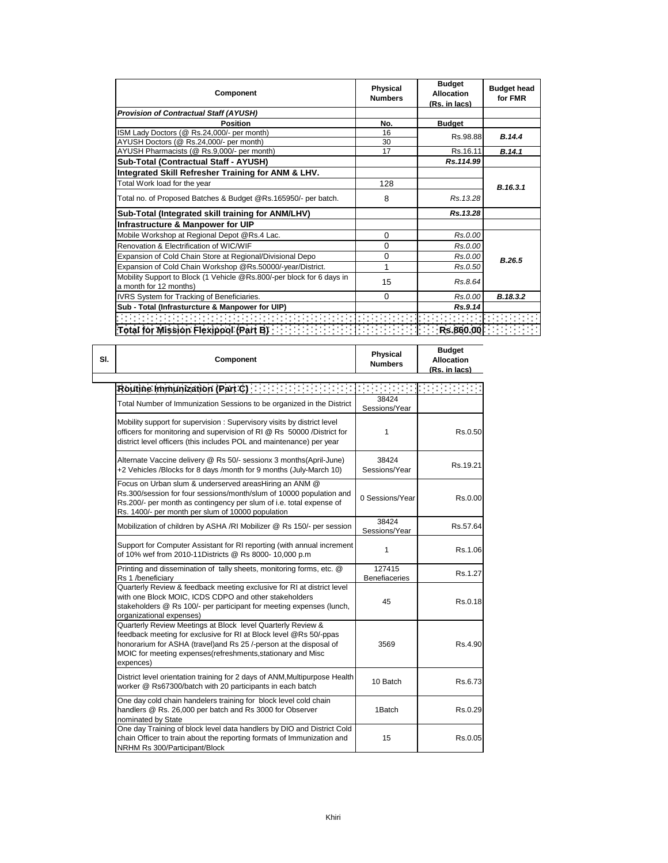| <b>Component</b>                                                                                | Physical<br><b>Numbers</b> | <b>Budget</b><br><b>Allocation</b><br>(Rs. in lacs) | <b>Budget head</b><br>for FMR |
|-------------------------------------------------------------------------------------------------|----------------------------|-----------------------------------------------------|-------------------------------|
| <b>Provision of Contractual Staff (AYUSH)</b>                                                   |                            |                                                     |                               |
| <b>Position</b>                                                                                 | No.                        | <b>Budget</b>                                       |                               |
| ISM Lady Doctors (@ Rs.24,000/- per month)                                                      | 16                         | Rs.98.88                                            | B.14.4                        |
| AYUSH Doctors (@ Rs.24,000/- per month)                                                         | 30                         |                                                     |                               |
| AYUSH Pharmacists (@ Rs.9,000/- per month)                                                      | 17                         | Rs.16.11                                            | B.14.1                        |
| Sub-Total (Contractual Staff - AYUSH)                                                           |                            | Rs.114.99                                           |                               |
| Integrated Skill Refresher Training for ANM & LHV.                                              |                            |                                                     |                               |
| Total Work load for the year                                                                    | 128                        |                                                     | B.16.3.1                      |
| Total no. of Proposed Batches & Budget @Rs.165950/- per batch.                                  | 8                          | Rs. 13.28                                           |                               |
| Sub-Total (Integrated skill training for ANM/LHV)                                               |                            | Rs.13.28                                            |                               |
| Infrastructure & Manpower for UIP                                                               |                            |                                                     |                               |
| Mobile Workshop at Regional Depot @Rs.4 Lac.                                                    | $\Omega$                   | Rs.0.00                                             |                               |
| Renovation & Electrification of WIC/WIF                                                         | 0                          | Rs.0.00                                             |                               |
| Expansion of Cold Chain Store at Regional/Divisional Depo                                       | 0                          | Rs.0.00                                             | B.26.5                        |
| Expansion of Cold Chain Workshop @Rs.50000/-year/District.                                      |                            | Rs.0.50                                             |                               |
| Mobility Support to Block (1 Vehicle @Rs.800/-per block for 6 days in<br>a month for 12 months) | 15                         | Rs.8.64                                             |                               |
|                                                                                                 |                            | Rs.0.00                                             |                               |
| IVRS System for Tracking of Beneficiaries.                                                      | $\Omega$                   |                                                     | B.18.3.2                      |
| Sub - Total (Infrasturcture & Manpower for UIP)                                                 |                            | Rs.9.14                                             |                               |
| <b>CONTRACTOR</b>                                                                               |                            |                                                     |                               |
| Total for Mission Plexipool: (Part B)<br>Total for Mission Plexipool: (Part B)                  |                            |                                                     |                               |

| SI. | Component                                                                                                                                                                                                                                                                         | <b>Physical</b><br><b>Numbers</b> | <b>Budget</b><br><b>Allocation</b><br>(Rs. in lacs) |
|-----|-----------------------------------------------------------------------------------------------------------------------------------------------------------------------------------------------------------------------------------------------------------------------------------|-----------------------------------|-----------------------------------------------------|
|     | Routine Immunization (Part C) and the set of the set of the set of the set of the set of                                                                                                                                                                                          |                                   |                                                     |
|     | Total Number of Immunization Sessions to be organized in the District                                                                                                                                                                                                             | 38424<br>Sessions/Year            |                                                     |
|     | Mobility support for supervision: Supervisory visits by district level<br>officers for monitoring and supervision of RI @ Rs 50000 /District for<br>district level officers (this includes POL and maintenance) per year                                                          | 1                                 | Rs.0.50                                             |
|     | Alternate Vaccine delivery @ Rs 50/- sessionx 3 months(April-June)<br>+2 Vehicles /Blocks for 8 days /month for 9 months (July-March 10)                                                                                                                                          | 38424<br>Sessions/Year            | Rs.19.21                                            |
|     | Focus on Urban slum & underserved areasHiring an ANM @<br>Rs.300/session for four sessions/month/slum of 10000 population and<br>Rs.200/- per month as contingency per slum of i.e. total expense of<br>Rs. 1400/- per month per slum of 10000 population                         | 0 Sessions/Year                   | Rs.0.00                                             |
|     | Mobilization of children by ASHA /RI Mobilizer @ Rs 150/- per session                                                                                                                                                                                                             | 38424<br>Sessions/Year            | Rs.57.64                                            |
|     | Support for Computer Assistant for RI reporting (with annual increment<br>of 10% wef from 2010-11Districts @ Rs 8000- 10,000 p.m                                                                                                                                                  | 1                                 | Rs.1.06                                             |
|     | Printing and dissemination of tally sheets, monitoring forms, etc. @<br>Rs 1 /beneficiary                                                                                                                                                                                         | 127415<br><b>Benefiaceries</b>    | Rs.1.27                                             |
|     | Quarterly Review & feedback meeting exclusive for RI at district level<br>with one Block MOIC, ICDS CDPO and other stakeholders<br>stakeholders @ Rs 100/- per participant for meeting expenses (lunch,<br>organizational expenses)                                               | 45                                | Rs.0.18                                             |
|     | Quarterly Review Meetings at Block level Quarterly Review &<br>feedback meeting for exclusive for RI at Block level @Rs 50/-ppas<br>honorarium for ASHA (travel)and Rs 25 /-person at the disposal of<br>MOIC for meeting expenses(refreshments, stationary and Misc<br>expences) | 3569                              | Rs.4.90                                             |
|     | District level orientation training for 2 days of ANM, Multipurpose Health<br>worker @ Rs67300/batch with 20 participants in each batch                                                                                                                                           | 10 Batch                          | Rs.6.73                                             |
|     | One day cold chain handelers training for block level cold chain<br>handlers @ Rs. 26,000 per batch and Rs 3000 for Observer<br>nominated by State                                                                                                                                | 1Batch                            | Rs.0.29                                             |
|     | One day Training of block level data handlers by DIO and District Cold<br>chain Officer to train about the reporting formats of Immunization and<br>NRHM Rs 300/Participant/Block                                                                                                 | 15                                | Rs.0.05                                             |

 $\Box$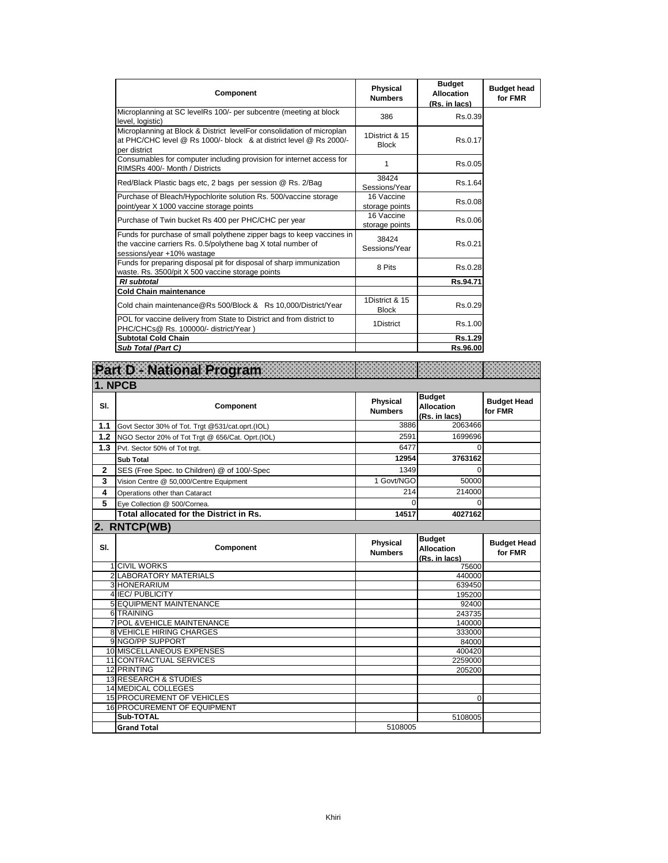| Component                                                                                                                                                           | Physical<br><b>Numbers</b>     | <b>Budget</b><br><b>Allocation</b><br>(Rs. in lacs) | <b>Budget head</b><br>for FMR |
|---------------------------------------------------------------------------------------------------------------------------------------------------------------------|--------------------------------|-----------------------------------------------------|-------------------------------|
| Microplanning at SC levelRs 100/- per subcentre (meeting at block<br>level, logistic)                                                                               | 386                            | Rs.0.39                                             |                               |
| Microplanning at Block & District levelFor consolidation of microplan<br>at PHC/CHC level @ Rs 1000/- block & at district level @ Rs 2000/-<br>per district         | 1District & 15<br><b>Block</b> | Rs.0.17                                             |                               |
| Consumables for computer including provision for internet access for<br>RIMSRs 400/- Month / Districts                                                              | 1                              | Rs.0.05                                             |                               |
| Red/Black Plastic bags etc, 2 bags per session @ Rs. 2/Bag                                                                                                          | 38424<br>Sessions/Year         | Rs.1.64                                             |                               |
| Purchase of Bleach/Hypochlorite solution Rs. 500/vaccine storage<br>point/year X 1000 vaccine storage points                                                        | 16 Vaccine<br>storage points   | Rs.0.08                                             |                               |
| Purchase of Twin bucket Rs 400 per PHC/CHC per year                                                                                                                 | 16 Vaccine<br>storage points   | Rs.0.06                                             |                               |
| Funds for purchase of small polythene zipper bags to keep vaccines in<br>the vaccine carriers Rs. 0.5/polythene bag X total number of<br>sessions/year +10% wastage | 38424<br>Sessions/Year         | Rs.0.21                                             |                               |
| Funds for preparing disposal pit for disposal of sharp immunization<br>waste. Rs. 3500/pit X 500 vaccine storage points                                             | 8 Pits                         | Rs.0.28                                             |                               |
| <b>RI</b> subtotal                                                                                                                                                  |                                | Rs.94.71                                            |                               |
| <b>Cold Chain maintenance</b>                                                                                                                                       |                                |                                                     |                               |
| Cold chain maintenance@Rs 500/Block & Rs 10,000/District/Year                                                                                                       | 1District & 15<br><b>Block</b> | Rs.0.29                                             |                               |
| POL for vaccine delivery from State to District and from district to<br>PHC/CHCs@ Rs. 100000/- district/Year)                                                       | 1District                      | Rs.1.00                                             |                               |
| <b>Subtotal Cold Chain</b>                                                                                                                                          |                                | Rs.1.29                                             |                               |
| Sub Total (Part C)                                                                                                                                                  |                                | Rs.96.00                                            |                               |

|                | Part D National Program                          |                                   |                                                     |                               |  |  |
|----------------|--------------------------------------------------|-----------------------------------|-----------------------------------------------------|-------------------------------|--|--|
|                | 1. NPCB                                          |                                   |                                                     |                               |  |  |
| SI.            | Component                                        | Physical<br><b>Numbers</b>        | <b>Budget</b><br><b>Allocation</b><br>(Rs. in lacs) | <b>Budget Head</b><br>for FMR |  |  |
| 1.1            | Govt Sector 30% of Tot. Trgt @531/cat.oprt.(IOL) | 3886                              | 2063466                                             |                               |  |  |
| 1.2            | NGO Sector 20% of Tot Trgt @ 656/Cat. Oprt.(IOL) | 2591                              | 1699696                                             |                               |  |  |
| 1.3            | Pvt. Sector 50% of Tot trgt.                     | 6477                              | $\Omega$                                            |                               |  |  |
|                | <b>Sub Total</b>                                 | 12954                             | 3763162                                             |                               |  |  |
| $\overline{2}$ | SES (Free Spec. to Children) @ of 100/-Spec      | 1349                              | $\Omega$                                            |                               |  |  |
| 3              | Vision Centre @ 50,000/Centre Equipment          | 1 Govt/NGO                        | 50000                                               |                               |  |  |
| 4              | Operations other than Cataract                   | 214                               | 214000                                              |                               |  |  |
| 5              | Eye Collection @ 500/Cornea.                     | $\Omega$                          | $\Omega$                                            |                               |  |  |
|                | Total allocated for the District in Rs.          | 14517                             | 4027162                                             |                               |  |  |
|                | 2. RNTCP(WB)                                     |                                   |                                                     |                               |  |  |
| SI.            | Component                                        | <b>Physical</b><br><b>Numbers</b> | <b>Budget</b><br><b>Allocation</b><br>(Rs. in lacs) | <b>Budget Head</b><br>for FMR |  |  |
|                | <b>1 CIVIL WORKS</b><br>2 LABORATORY MATERIALS   |                                   | 75600<br>440000                                     |                               |  |  |
|                | 3 HONERARIUM                                     |                                   | 639450                                              |                               |  |  |
|                | <b>4 IEC/ PUBLICITY</b>                          |                                   | 195200                                              |                               |  |  |
|                | <b>5 EQUIPMENT MAINTENANCE</b>                   |                                   | 92400                                               |                               |  |  |
|                | 6 TRAINING                                       |                                   | 243735                                              |                               |  |  |
|                | 7 POL & VEHICLE MAINTENANCE                      |                                   | 140000                                              |                               |  |  |
|                | <b>8 VEHICLE HIRING CHARGES</b>                  |                                   | 333000                                              |                               |  |  |
|                |                                                  |                                   |                                                     |                               |  |  |
|                | 9 NGO/PP SUPPORT                                 |                                   | 84000                                               |                               |  |  |
|                | 10 MISCELLANEOUS EXPENSES                        |                                   | 400420                                              |                               |  |  |
|                | 11 CONTRACTUAL SERVICES                          |                                   | 2259000                                             |                               |  |  |
|                | 12 PRINTING                                      |                                   | 205200                                              |                               |  |  |
|                | 13 RESEARCH & STUDIES                            |                                   |                                                     |                               |  |  |
|                | <b>14 MEDICAL COLLEGES</b>                       |                                   |                                                     |                               |  |  |
|                | <b>15 PROCUREMENT OF VEHICLES</b>                |                                   | $\Omega$                                            |                               |  |  |
|                | <b>16 PROCUREMENT OF EQUIPMENT</b><br>Sub-TOTAL  |                                   | 5108005                                             |                               |  |  |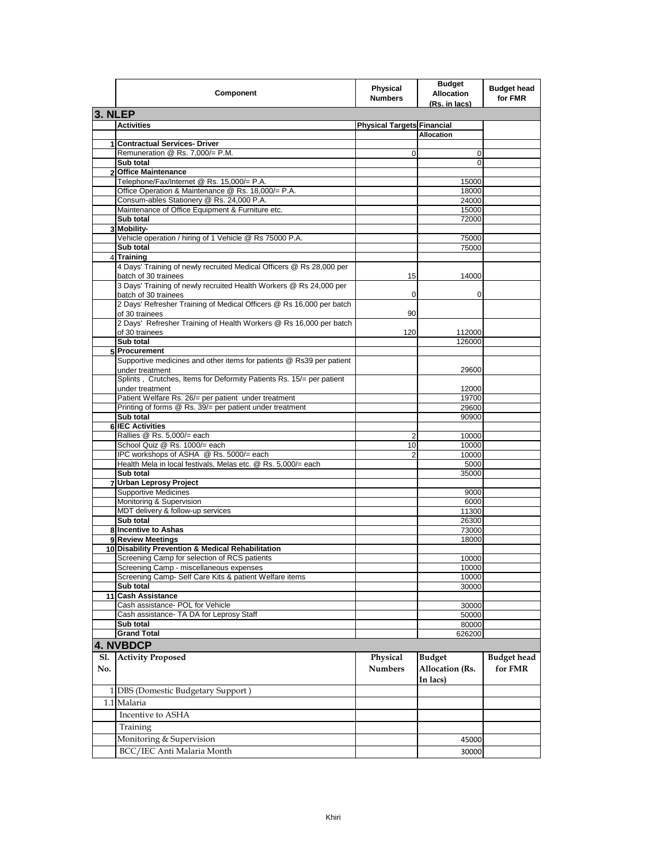|                | Component                                                                                    | <b>Physical</b><br><b>Numbers</b> | <b>Budget</b><br><b>Allocation</b><br>(Rs. in lacs) | <b>Budget head</b><br>for FMR |
|----------------|----------------------------------------------------------------------------------------------|-----------------------------------|-----------------------------------------------------|-------------------------------|
| 3. NLEP        |                                                                                              |                                   |                                                     |                               |
|                | <b>Activities</b>                                                                            | <b>Physical Targets Financial</b> |                                                     |                               |
|                |                                                                                              |                                   | <b>Allocation</b>                                   |                               |
| 1              | <b>Contractual Services- Driver</b>                                                          |                                   |                                                     |                               |
|                | Remuneration @ Rs. 7,000/= P.M.                                                              | 0                                 | 0                                                   |                               |
|                | Sub total                                                                                    |                                   | 0                                                   |                               |
|                | <b>Office Maintenance</b><br>Telephone/Fax/Internet @ Rs. 15,000/= P.A.                      |                                   | 15000                                               |                               |
|                | Office Operation & Maintenance @ Rs. 18,000/= P.A.                                           |                                   | 18000                                               |                               |
|                | Consum-ables Stationery @ Rs. 24,000 P.A.                                                    |                                   | 24000                                               |                               |
|                | Maintenance of Office Equipment & Furniture etc.                                             |                                   | 15000                                               |                               |
|                | Sub total                                                                                    |                                   | 72000                                               |                               |
|                | 3 Mobility-                                                                                  |                                   |                                                     |                               |
|                | Vehicle operation / hiring of 1 Vehicle @ Rs 75000 P.A.                                      |                                   | 75000                                               |                               |
| $\overline{4}$ | Sub total<br><b>Training</b>                                                                 |                                   | 75000                                               |                               |
|                | 4 Days' Training of newly recruited Medical Officers @ Rs 28,000 per<br>batch of 30 trainees | 15                                | 14000                                               |                               |
|                | 3 Days' Training of newly recruited Health Workers @ Rs 24,000 per<br>batch of 30 trainees   | 0                                 | 0                                                   |                               |
|                | 2 Days' Refresher Training of Medical Officers @ Rs 16,000 per batch<br>of 30 trainees       | 90                                |                                                     |                               |
|                | 2 Days' Refresher Training of Health Workers @ Rs 16,000 per batch<br>of 30 trainees         | 120                               | 112000                                              |                               |
|                | Sub total                                                                                    |                                   | 126000                                              |                               |
|                | 5 Procurement<br>Supportive medicines and other items for patients @ Rs39 per patient        |                                   |                                                     |                               |
|                | under treatment                                                                              |                                   | 29600                                               |                               |
|                | Splints, Crutches, Items for Deformity Patients Rs. 15/= per patient<br>under treatment      |                                   | 12000                                               |                               |
|                | Patient Welfare Rs. 26/= per patient under treatment                                         |                                   | 19700                                               |                               |
|                | Printing of forms @ Rs. 39/= per patient under treatment                                     |                                   | 29600                                               |                               |
|                | Sub total<br>6 IEC Activities                                                                |                                   | 90900                                               |                               |
|                | Rallies @ Rs. 5,000/= each                                                                   | $\overline{2}$                    | 10000                                               |                               |
|                | School Quiz @ Rs. 1000/= each                                                                | 10                                | 10000                                               |                               |
|                | IPC workshops of ASHA @ Rs. 5000/= each                                                      | $\overline{2}$                    | 10000                                               |                               |
|                | Health Mela in local festivals, Melas etc. @ Rs. 5,000/= each                                |                                   | 5000                                                |                               |
|                | Sub total                                                                                    |                                   | 35000                                               |                               |
|                | <b>Urban Leprosy Project</b><br><b>Supportive Medicines</b>                                  |                                   |                                                     |                               |
|                | Monitoring & Supervision                                                                     |                                   | 9000<br>6000                                        |                               |
|                | MDT delivery & follow-up services                                                            |                                   | 11300                                               |                               |
|                | Sub total                                                                                    |                                   | 26300                                               |                               |
|                | 8 Incentive to Ashas                                                                         |                                   | 73000                                               |                               |
|                | 9 Review Meetings                                                                            |                                   | 18000                                               |                               |
|                | 10 Disability Prevention & Medical Rehabilitation                                            |                                   |                                                     |                               |
|                | Screening Camp for selection of RCS patients<br>Screening Camp - miscellaneous expenses      |                                   | 10000<br>10000                                      |                               |
|                | Screening Camp- Self Care Kits & patient Welfare items                                       |                                   | 10000                                               |                               |
|                | Sub total                                                                                    |                                   | 30000                                               |                               |
|                | 11 Cash Assistance                                                                           |                                   |                                                     |                               |
|                | Cash assistance- POL for Vehicle                                                             |                                   | 30000                                               |                               |
|                | Cash assistance- TA DA for Leprosy Staff                                                     |                                   | 50000                                               |                               |
|                | Sub total                                                                                    |                                   | 80000                                               |                               |
|                | <b>Grand Total</b>                                                                           |                                   | 626200                                              |                               |
|                | 4. NVBDCP                                                                                    |                                   |                                                     |                               |
| Sl.<br>No.     | <b>Activity Proposed</b>                                                                     | Physical<br><b>Numbers</b>        | <b>Budget</b><br>Allocation (Rs.<br>In lacs)        | <b>Budget head</b><br>for FMR |
|                | 1 DBS (Domestic Budgetary Support)                                                           |                                   |                                                     |                               |
|                | 1.1 Malaria                                                                                  |                                   |                                                     |                               |
|                | Incentive to ASHA                                                                            |                                   |                                                     |                               |
|                | Training                                                                                     |                                   |                                                     |                               |
|                | Monitoring & Supervision                                                                     |                                   | 45000                                               |                               |
|                | BCC/IEC Anti Malaria Month                                                                   |                                   | 30000                                               |                               |
|                |                                                                                              |                                   |                                                     |                               |